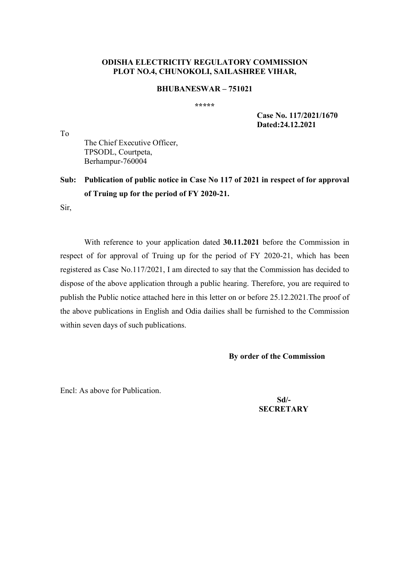### **ODISHA ELECTRICITY REGULATORY COMMISSION PLOT NO.4, CHUNOKOLI, SAILASHREE VIHAR,**

### **BHUBANESWAR 751021**

**\*\*\*\*\*** 

 **Case No. 117/2021/1670 Dated:24.12.2021** 

The Chief Executive Officer, TPSODL, Courtpeta, Berhampur-760004

**Sub: Publication of public notice in Case No 117 of 2021 in respect of for approval of Truing up for the period of FY 2020-21.** 

Sir,

To

With reference to your application dated **30.11.2021** before the Commission in respect of for approval of Truing up for the period of FY 2020-21, which has been registered as Case No.117/2021, I am directed to say that the Commission has decided to dispose of the above application through a public hearing. Therefore, you are required to publish the Public notice attached here in this letter on or before 25.12.2021.The proof of the above publications in English and Odia dailies shall be furnished to the Commission within seven days of such publications.

**By order of the Commission** 

Encl: As above for Publication.

 **Sd/- SECRETARY**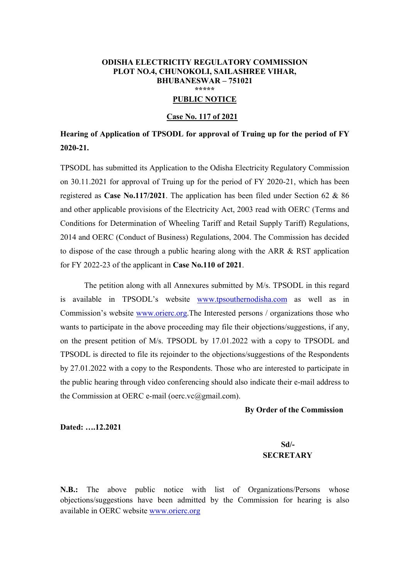#### **ODISHA ELECTRICITY REGULATORY COMMISSION PLOT NO.4, CHUNOKOLI, SAILASHREE VIHAR, BHUBANESWAR - 751021 \*\*\*\*\***

### **PUBLIC NOTICE**

#### **Case No. 117 of 2021**

# **Hearing of Application of TPSODL for approval of Truing up for the period of FY 2020-21.**

TPSODL has submitted its Application to the Odisha Electricity Regulatory Commission on 30.11.2021 for approval of Truing up for the period of FY 2020-21, which has been registered as **Case No.117/2021**. The application has been filed under Section 62 & 86 and other applicable provisions of the Electricity Act, 2003 read with OERC (Terms and Conditions for Determination of Wheeling Tariff and Retail Supply Tariff) Regulations, 2014 and OERC (Conduct of Business) Regulations, 2004. The Commission has decided to dispose of the case through a public hearing along with the ARR & RST application for FY 2022-23 of the applicant in **Case No.110 of 2021**.

The petition along with all Annexures submitted by M/s. TPSODL in this regard is available in TPSODL's website www.tpsouthernodisha.com as well as in Commission's website www.orierc.org.The Interested persons / organizations those who wants to participate in the above proceeding may file their objections/suggestions, if any, on the present petition of M/s. TPSODL by 17.01.2022 with a copy to TPSODL and TPSODL is directed to file its rejoinder to the objections/suggestions of the Respondents by 27.01.2022 with a copy to the Respondents. Those who are interested to participate in the public hearing through video conferencing should also indicate their e-mail address to the Commission at OERC e-mail (oerc.vc@gmail.com).

#### **By Order of the Commission**

**Dated: -.12.2021** 

## **Sd/- SECRETARY**

**N.B.:** The above public notice with list of Organizations/Persons whose objections/suggestions have been admitted by the Commission for hearing is also available in OERC website www.orierc.org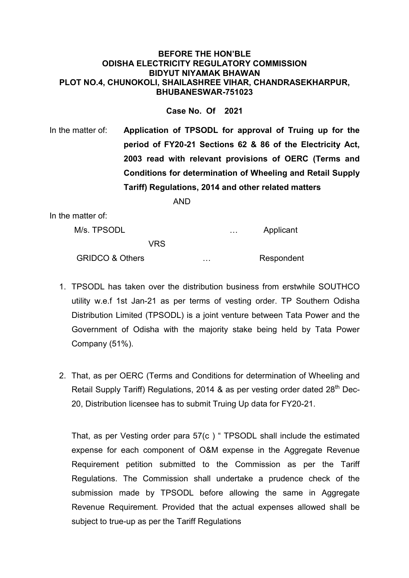### **BEFORE THE HON'BLE ODISHA ELECTRICITY REGULATORY COMMISSION BIDYUT NIYAMAK BHAWAN PLOT NO.4, CHUNOKOLI, SHAILASHREE VIHAR, CHANDRASEKHARPUR, BHUBANESWAR-751023**

**Case No. Of 2021** 

In the matter of: **Application of TPSODL for approval of Truing up for the period of FY20-21 Sections 62 & 86 of the Electricity Act, 2003 read with relevant provisions of OERC (Terms and Conditions for determination of Wheeling and Retail Supply Tariff) Regulations, 2014 and other related matters** 

AND

In the matter of:

| M/s. TPSODL                |   | $\sim$ $\sim$ | Applicant  |
|----------------------------|---|---------------|------------|
| VRS                        |   |               |            |
| <b>GRIDCO &amp; Others</b> | . |               | Respondent |

- 1. TPSODL has taken over the distribution business from erstwhile SOUTHCO utility w.e.f 1st Jan-21 as per terms of vesting order. TP Southern Odisha Distribution Limited (TPSODL) is a joint venture between Tata Power and the Government of Odisha with the majority stake being held by Tata Power Company (51%).
- 2. That, as per OERC (Terms and Conditions for determination of Wheeling and Retail Supply Tariff) Regulations, 2014  $\&$  as per vesting order dated 28<sup>th</sup> Dec-20, Distribution licensee has to submit Truing Up data for FY20-21.

That, as per Vesting order para  $57(c)$  " TPSODL shall include the estimated expense for each component of O&M expense in the Aggregate Revenue Requirement petition submitted to the Commission as per the Tariff Regulations. The Commission shall undertake a prudence check of the submission made by TPSODL before allowing the same in Aggregate Revenue Requirement. Provided that the actual expenses allowed shall be subject to true-up as per the Tariff Regulations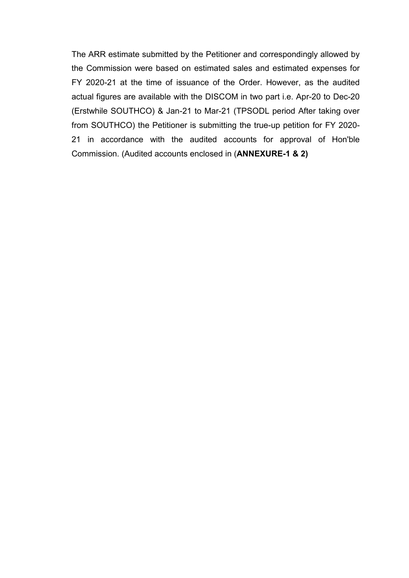The ARR estimate submitted by the Petitioner and correspondingly allowed by the Commission were based on estimated sales and estimated expenses for FY 2020-21 at the time of issuance of the Order. However, as the audited actual figures are available with the DISCOM in two part i.e. Apr-20 to Dec-20 (Erstwhile SOUTHCO) & Jan-21 to Mar-21 (TPSODL period After taking over from SOUTHCO) the Petitioner is submitting the true-up petition for FY 2020- 21 in accordance with the audited accounts for approval of Hon'ble Commission. (Audited accounts enclosed in (**ANNEXURE-1 & 2)**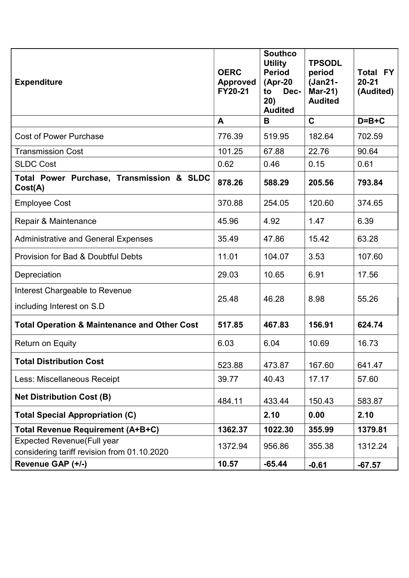| <b>Expenditure</b>                                      | <b>OERC</b><br><b>Approved</b><br>FY20-21 | <b>Southco</b><br><b>Utility</b><br><b>Period</b><br>$(Apr-20)$<br>Dec-<br>to<br>20)<br><b>Audited</b> | <b>TPSODL</b><br>period<br>(Jan21-<br>Mar-21)<br><b>Audited</b> | <b>FY</b><br>Total<br>$20 - 21$<br>(Audited) |
|---------------------------------------------------------|-------------------------------------------|--------------------------------------------------------------------------------------------------------|-----------------------------------------------------------------|----------------------------------------------|
|                                                         | A                                         | B                                                                                                      | $\mathbf C$                                                     | $D=B+C$                                      |
| <b>Cost of Power Purchase</b>                           | 776.39                                    | 519.95                                                                                                 | 182.64                                                          | 702.59                                       |
| <b>Transmission Cost</b>                                | 101.25                                    | 67.88                                                                                                  | 22.76                                                           | 90.64                                        |
| <b>SLDC Cost</b>                                        | 0.62                                      | 0.46                                                                                                   | 0.15                                                            | 0.61                                         |
| Total Power Purchase, Transmission & SLDC<br>Cost(A)    | 878.26                                    | 588.29                                                                                                 | 205.56                                                          | 793.84                                       |
| <b>Employee Cost</b>                                    | 370.88                                    | 254.05                                                                                                 | 120.60                                                          | 374.65                                       |
| Repair & Maintenance                                    | 45.96                                     | 4.92                                                                                                   | 1.47                                                            | 6.39                                         |
| <b>Administrative and General Expenses</b>              | 35.49                                     | 47.86                                                                                                  | 15.42                                                           | 63.28                                        |
| <b>Provision for Bad &amp; Doubtful Debts</b>           | 11.01                                     | 104.07                                                                                                 | 3.53                                                            | 107.60                                       |
| Depreciation                                            | 29.03                                     | 10.65                                                                                                  | 6.91                                                            | 17.56                                        |
| Interest Chargeable to Revenue                          | 25.48                                     | 46.28                                                                                                  |                                                                 | 55.26                                        |
| including Interest on S.D                               |                                           |                                                                                                        | 8.98                                                            |                                              |
| <b>Total Operation &amp; Maintenance and Other Cost</b> | 517.85                                    | 467.83                                                                                                 | 156.91                                                          | 624.74                                       |
| <b>Return on Equity</b>                                 | 6.03                                      | 6.04                                                                                                   | 10.69                                                           | 16.73                                        |
| <b>Total Distribution Cost</b>                          | 523.88                                    | 473.87                                                                                                 | 167.60                                                          | 641.47                                       |
| Less: Miscellaneous Receipt                             | 39.77                                     | 40.43                                                                                                  | 17.17                                                           | 57.60                                        |
| <b>Net Distribution Cost (B)</b>                        | 484.11                                    | 433.44                                                                                                 | 150.43                                                          | 583.87                                       |
| <b>Total Special Appropriation (C)</b>                  |                                           | 2.10                                                                                                   | 0.00                                                            | 2.10                                         |
| Total Revenue Requirement (A+B+C)                       | 1362.37                                   | 1022.30                                                                                                | 355.99                                                          | 1379.81                                      |
| <b>Expected Revenue (Full year</b>                      | 1372.94                                   | 956.86                                                                                                 | 355.38                                                          | 1312.24                                      |
| considering tariff revision from 01.10.2020             |                                           |                                                                                                        |                                                                 |                                              |
| Revenue GAP (+/-)                                       | 10.57                                     | $-65.44$                                                                                               | $-0.61$                                                         | $-67.57$                                     |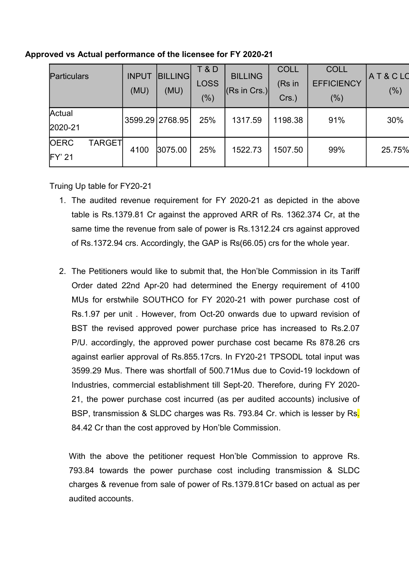| Particulars                              | <b>INPUT</b><br>(MU) | <b>BILLING</b><br>(MU) | <b>T&amp;D</b><br><b>LOSS</b><br>(%) | <b>BILLING</b><br>$ $ (Rs in Crs.) | <b>COLL</b><br>(Rs in<br>$Crs.$ ) | <b>COLL</b><br><b>EFFICIENCY</b><br>(%) | AT&CLO<br>(%) |
|------------------------------------------|----------------------|------------------------|--------------------------------------|------------------------------------|-----------------------------------|-----------------------------------------|---------------|
| Actual<br>2020-21                        | 3599.29 2768.95      |                        | 25%                                  | 1317.59                            | 1198.38                           | 91%                                     | 30%           |
| <b>OERC</b><br><b>TARGET</b><br>$FY'$ 21 | 4100                 | 3075.00                | 25%                                  | 1522.73                            | 1507.50                           | 99%                                     | 25.75%        |

## **Approved vs Actual performance of the licensee for FY 2020-21**

Truing Up table for FY20-21

- 1. The audited revenue requirement for FY 2020-21 as depicted in the above table is Rs.1379.81 Cr against the approved ARR of Rs. 1362.374 Cr, at the same time the revenue from sale of power is Rs.1312.24 crs against approved of Rs.1372.94 crs. Accordingly, the GAP is Rs(66.05) crs for the whole year.
- 2. The Petitioners would like to submit that, the Hon'ble Commission in its Tariff Order dated 22nd Apr-20 had determined the Energy requirement of 4100 MUs for erstwhile SOUTHCO for FY 2020-21 with power purchase cost of Rs.1.97 per unit . However, from Oct-20 onwards due to upward revision of BST the revised approved power purchase price has increased to Rs.2.07 P/U. accordingly, the approved power purchase cost became Rs 878.26 crs against earlier approval of Rs.855.17crs. In FY20-21 TPSODL total input was 3599.29 Mus. There was shortfall of 500.71Mus due to Covid-19 lockdown of Industries, commercial establishment till Sept-20. Therefore, during FY 2020- 21, the power purchase cost incurred (as per audited accounts) inclusive of BSP, transmission & SLDC charges was Rs. 793.84 Cr. which is lesser by Rs. 84.42 Cr than the cost approved by Hon'ble Commission.

With the above the petitioner request Hon'ble Commission to approve Rs. 793.84 towards the power purchase cost including transmission & SLDC charges & revenue from sale of power of Rs.1379.81Cr based on actual as per audited accounts.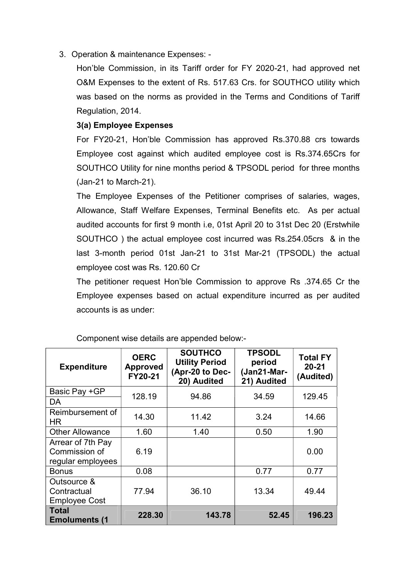3. Operation & maintenance Expenses: -

Hon'ble Commission, in its Tariff order for FY 2020-21, had approved net O&M Expenses to the extent of Rs. 517.63 Crs. for SOUTHCO utility which was based on the norms as provided in the Terms and Conditions of Tariff Regulation, 2014.

## **3(a) Employee Expenses**

For FY20-21, Hon'ble Commission has approved Rs.370.88 crs towards Employee cost against which audited employee cost is Rs.374.65Crs for SOUTHCO Utility for nine months period & TPSODL period for three months (Jan-21 to March-21).

The Employee Expenses of the Petitioner comprises of salaries, wages, Allowance, Staff Welfare Expenses, Terminal Benefits etc. As per actual audited accounts for first 9 month i.e, 01st April 20 to 31st Dec 20 (Erstwhile SOUTHCO ) the actual employee cost incurred was Rs.254.05crs & in the last 3-month period 01st Jan-21 to 31st Mar-21 (TPSODL) the actual employee cost was Rs. 120.60 Cr

The petitioner request Hon'ble Commission to approve Rs .374.65 Cr the Employee expenses based on actual expenditure incurred as per audited accounts is as under:

| <b>Expenditure</b>                                      | <b>OERC</b><br><b>Approved</b><br>FY20-21 | <b>SOUTHCO</b><br><b>Utility Period</b><br>(Apr-20 to Dec-<br>20) Audited | <b>TPSODL</b><br>period<br>(Jan21-Mar-<br>21) Audited | <b>Total FY</b><br>$20 - 21$<br>(Audited) |  |
|---------------------------------------------------------|-------------------------------------------|---------------------------------------------------------------------------|-------------------------------------------------------|-------------------------------------------|--|
| Basic Pay +GP                                           | 128.19                                    | 94.86                                                                     | 34.59                                                 | 129.45                                    |  |
| DA                                                      |                                           |                                                                           |                                                       |                                           |  |
| Reimbursement of<br>ΗR                                  | 14.30                                     | 11.42                                                                     | 3.24                                                  | 14.66                                     |  |
| <b>Other Allowance</b>                                  | 1.60                                      | 1.40                                                                      | 0.50                                                  | 1.90                                      |  |
| Arrear of 7th Pay<br>Commission of<br>regular employees | 6.19                                      |                                                                           |                                                       | 0.00                                      |  |
| <b>Bonus</b>                                            | 0.08                                      |                                                                           | 0.77                                                  | 0.77                                      |  |
| Outsource &<br>Contractual<br><b>Employee Cost</b>      | 77.94                                     | 36.10                                                                     | 13.34                                                 | 49.44                                     |  |
| <b>Total</b><br><b>Emoluments (1</b>                    | 228.30                                    | 143.78                                                                    | 52.45                                                 | 196.23                                    |  |

Component wise details are appended below:-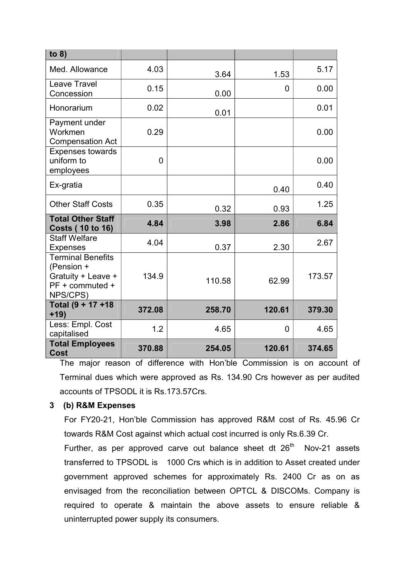| to $8)$                                                                                     |          |        |              |        |
|---------------------------------------------------------------------------------------------|----------|--------|--------------|--------|
| Med. Allowance                                                                              | 4.03     | 3.64   | 1.53         | 5.17   |
| <b>Leave Travel</b><br>Concession                                                           | 0.15     | 0.00   | 0            | 0.00   |
| Honorarium                                                                                  | 0.02     | 0.01   |              | 0.01   |
| Payment under<br>Workmen<br><b>Compensation Act</b>                                         | 0.29     |        |              | 0.00   |
| <b>Expenses towards</b><br>uniform to<br>employees                                          | $\Omega$ |        |              | 0.00   |
| Ex-gratia                                                                                   |          |        | 0.40         | 0.40   |
| <b>Other Staff Costs</b>                                                                    | 0.35     | 0.32   | 0.93         | 1.25   |
| <b>Total Other Staff</b><br><b>Costs (10 to 16)</b>                                         | 4.84     | 3.98   | 2.86         | 6.84   |
| <b>Staff Welfare</b><br><b>Expenses</b>                                                     | 4.04     | 0.37   | 2.30         | 2.67   |
| <b>Terminal Benefits</b><br>(Pension +<br>Gratuity + Leave +<br>PF + commuted +<br>NPS/CPS) | 134.9    | 110.58 | 62.99        | 173.57 |
| Total (9 + 17 +18<br>$+19)$                                                                 | 372.08   | 258.70 | 120.61       | 379.30 |
| Less: Empl. Cost<br>capitalised                                                             | 1.2      | 4.65   | $\mathbf{0}$ | 4.65   |
| <b>Total Employees</b><br><b>Cost</b>                                                       | 370.88   | 254.05 | 120.61       | 374.65 |

The major reason of difference with Hon'ble Commission is on account of Terminal dues which were approved as Rs. 134.90 Crs however as per audited accounts of TPSODL it is Rs.173.57Crs.

## **3 (b) R&M Expenses**

For FY20-21, Hon'ble Commission has approved R&M cost of Rs. 45.96 Cr towards R&M Cost against which actual cost incurred is only Rs.6.39 Cr.

Further, as per approved carve out balance sheet dt  $26<sup>th</sup>$  Nov-21 assets transferred to TPSODL is 1000 Crs which is in addition to Asset created under government approved schemes for approximately Rs. 2400 Cr as on as envisaged from the reconciliation between OPTCL & DISCOMs. Company is required to operate & maintain the above assets to ensure reliable & uninterrupted power supply its consumers.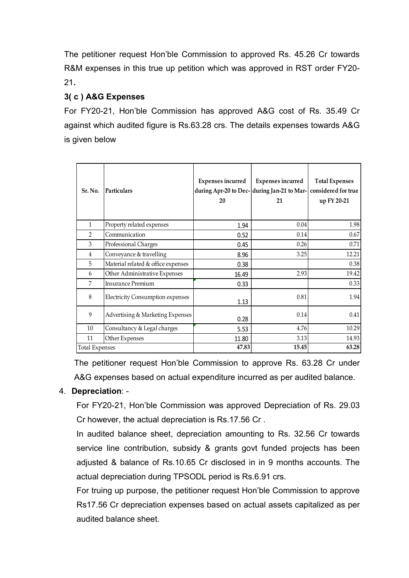The petitioner request Hon'ble Commission to approved Rs. 45.26 Cr towards R&M expenses in this true up petition which was approved in RST order FY20- 21**.** 

# **3( c ) A&G Expenses**

For FY20-21, Hon'ble Commission has approved A&G cost of Rs. 35.49 Cr against which audited figure is Rs.63.28 crs. The details expenses towards A&G is given below

| Sr. No.               | Particulars                             | <b>Expenses incurred</b><br>during Apr-20 to Dec- during Jan-21 to Mar-<br>20 | <b>Expenses</b> incurred<br>21 | <b>Total Expenses</b><br>considered for true<br>up FY 20-21 |
|-----------------------|-----------------------------------------|-------------------------------------------------------------------------------|--------------------------------|-------------------------------------------------------------|
| $\mathbf{1}$          | Property related expenses               | 1.94                                                                          | 0.04                           | 1.98                                                        |
| $\mathfrak{D}$        | Communication                           | 0.52                                                                          | 0.14                           | 0.67                                                        |
| 3                     | Professional Charges                    | 0.45                                                                          | 0.26                           | 0.71                                                        |
| $\overline{4}$        | Conveyance & travelling                 | 8.96                                                                          | 3.25                           | 12.21                                                       |
| 5                     | Material related & office expenses      | 0.38                                                                          |                                | 0.38                                                        |
| 6                     | Other Administrative Expenses           | 16.49                                                                         | 2.93                           | 19.42                                                       |
| 7                     | Insurance Premium                       | 0.33                                                                          |                                | 0.33                                                        |
| 8                     | <b>Electricity Consumption expenses</b> | 1.13                                                                          | 0.81                           | 1.94                                                        |
| 9                     | Advertising & Marketing Expenses        | 0.28                                                                          | 0.14                           | 0.41                                                        |
| 10                    | Consultancy & Legal charges             | 5.53                                                                          | 4.76                           | 10.29                                                       |
| 11                    | Other Expenses                          | 11.80                                                                         | 3.13                           | 14.93                                                       |
| <b>Total Expenses</b> |                                         | 47.83                                                                         | 15.45                          | 63.28                                                       |

The petitioner request Hon'ble Commission to approve Rs. 63.28 Cr under A&G expenses based on actual expenditure incurred as per audited balance.

# 4. **Depreciation**: -

For FY20-21, Hon'ble Commission was approved Depreciation of Rs. 29.03 Cr however, the actual depreciation is Rs.17.56 Cr .

In audited balance sheet, depreciation amounting to Rs. 32.56 Cr towards service line contribution, subsidy & grants govt funded projects has been adjusted & balance of Rs.10.65 Cr disclosed in in 9 months accounts. The actual depreciation during TPSODL period is Rs.6.91 crs.

For truing up purpose, the petitioner request Hon'ble Commission to approve Rs17.56 Cr depreciation expenses based on actual assets capitalized as per audited balance sheet.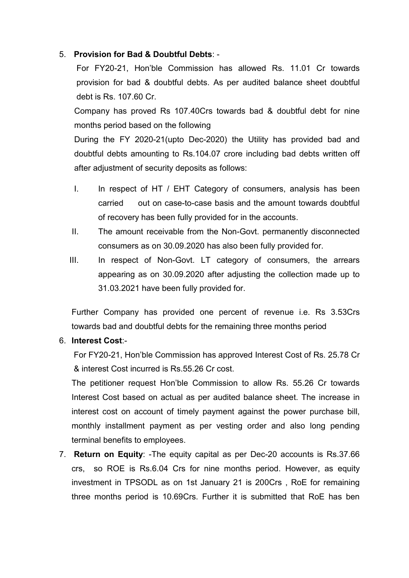## 5. **Provision for Bad & Doubtful Debts**: -

For FY20-21. Hon'ble Commission has allowed Rs. 11.01 Cr towards provision for bad & doubtful debts. As per audited balance sheet doubtful debt is Rs. 107.60 Cr.

Company has proved Rs 107.40Crs towards bad & doubtful debt for nine months period based on the following

During the FY 2020-21(upto Dec-2020) the Utility has provided bad and doubtful debts amounting to Rs.104.07 crore including bad debts written off after adjustment of security deposits as follows:

- I. In respect of HT / EHT Category of consumers, analysis has been carried out on case-to-case basis and the amount towards doubtful of recovery has been fully provided for in the accounts.
- II. The amount receivable from the Non-Govt. permanently disconnected consumers as on 30.09.2020 has also been fully provided for.
- III. In respect of Non-Govt. LT category of consumers, the arrears appearing as on 30.09.2020 after adjusting the collection made up to 31.03.2021 have been fully provided for.

Further Company has provided one percent of revenue i.e. Rs 3.53Crs towards bad and doubtful debts for the remaining three months period

## 6. **Interest Cost**:-

For FY20-21, Hon'ble Commission has approved Interest Cost of Rs. 25.78 Cr & interest Cost incurred is Rs.55.26 Cr cost.

The petitioner request Hon'ble Commission to allow Rs. 55.26 Cr towards Interest Cost based on actual as per audited balance sheet. The increase in interest cost on account of timely payment against the power purchase bill, monthly installment payment as per vesting order and also long pending terminal benefits to employees.

7. **Return on Equity**: -The equity capital as per Dec-20 accounts is Rs.37.66 crs, so ROE is Rs.6.04 Crs for nine months period. However, as equity investment in TPSODL as on 1st January 21 is 200Crs , RoE for remaining three months period is 10.69Crs. Further it is submitted that RoE has ben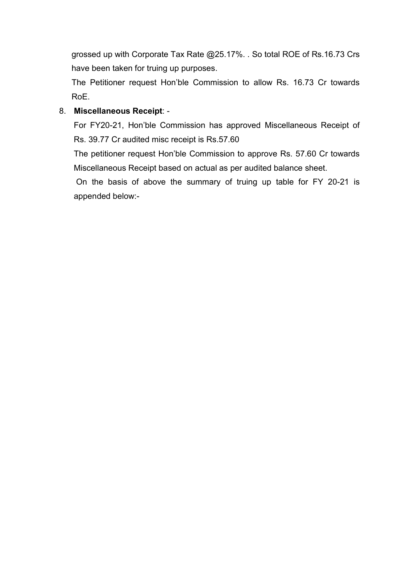grossed up with Corporate Tax Rate @25.17%. . So total ROE of Rs.16.73 Crs have been taken for truing up purposes.

The Petitioner request Hon'ble Commission to allow Rs. 16.73 Cr towards RoE.

## 8. **Miscellaneous Receipt**: -

For FY20-21, Hon'ble Commission has approved Miscellaneous Receipt of Rs. 39.77 Cr audited misc receipt is Rs.57.60

The petitioner request Hon'ble Commission to approve Rs. 57.60 Cr towards Miscellaneous Receipt based on actual as per audited balance sheet.

 On the basis of above the summary of truing up table for FY 20-21 is appended below:-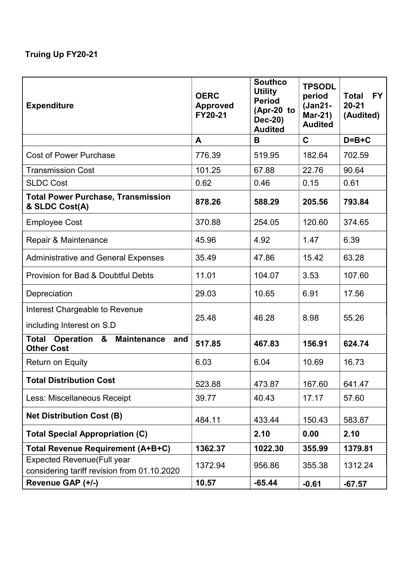# **Truing Up FY20-21**

| <b>Expenditure</b>                                                      | <b>OERC</b><br><b>Approved</b><br>FY20-21 | <b>Southco</b><br><b>Utility</b><br><b>Period</b><br>(Apr-20 to<br><b>Dec-20)</b><br><b>Audited</b> | <b>TPSODL</b><br>period<br>(Jan21-<br><b>Mar-21)</b><br><b>Audited</b> | <b>FY</b><br><b>Total</b><br>$20 - 21$<br>(Audited) |
|-------------------------------------------------------------------------|-------------------------------------------|-----------------------------------------------------------------------------------------------------|------------------------------------------------------------------------|-----------------------------------------------------|
|                                                                         | A                                         | B                                                                                                   | $\mathbf C$                                                            | $D=B+C$                                             |
| <b>Cost of Power Purchase</b>                                           | 776.39                                    | 519.95                                                                                              | 182.64                                                                 | 702.59                                              |
| <b>Transmission Cost</b>                                                | 101.25                                    | 67.88                                                                                               | 22.76                                                                  | 90.64                                               |
| <b>SLDC Cost</b>                                                        | 0.62                                      | 0.46                                                                                                | 0.15                                                                   | 0.61                                                |
| <b>Total Power Purchase, Transmission</b><br>& SLDC Cost(A)             | 878.26                                    | 588.29                                                                                              | 205.56                                                                 | 793.84                                              |
| <b>Employee Cost</b>                                                    | 370.88                                    | 254.05                                                                                              | 120.60                                                                 | 374.65                                              |
| Repair & Maintenance                                                    | 45.96                                     | 4.92                                                                                                | 1.47                                                                   | 6.39                                                |
| <b>Administrative and General Expenses</b>                              | 35.49                                     | 47.86                                                                                               | 15.42                                                                  | 63.28                                               |
| Provision for Bad & Doubtful Debts                                      | 11.01                                     | 104.07                                                                                              | 3.53                                                                   | 107.60                                              |
| Depreciation                                                            | 29.03                                     | 10.65                                                                                               | 6.91                                                                   | 17.56                                               |
| Interest Chargeable to Revenue                                          |                                           | 46.28                                                                                               | 8.98                                                                   | 55.26                                               |
| including Interest on S.D                                               | 25.48                                     |                                                                                                     |                                                                        |                                                     |
| <b>Operation &amp; Maintenance</b><br>Total<br>and<br><b>Other Cost</b> | 517.85                                    | 467.83                                                                                              | 156.91                                                                 | 624.74                                              |
| Return on Equity                                                        | 6.03                                      | 6.04                                                                                                | 10.69                                                                  | 16.73                                               |
| <b>Total Distribution Cost</b>                                          | 523.88                                    | 473.87                                                                                              | 167.60                                                                 | 641.47                                              |
| Less: Miscellaneous Receipt                                             | 39.77                                     | 40.43                                                                                               | 17.17                                                                  | 57.60                                               |
| <b>Net Distribution Cost (B)</b>                                        | 484.11                                    | 433.44                                                                                              | 150.43                                                                 | 583.87                                              |
| <b>Total Special Appropriation (C)</b>                                  |                                           | 2.10                                                                                                | 0.00                                                                   | 2.10                                                |
| Total Revenue Requirement (A+B+C)                                       | 1362.37                                   | 1022.30                                                                                             | 355.99                                                                 | 1379.81                                             |
| <b>Expected Revenue (Full year</b>                                      | 1372.94                                   | 956.86                                                                                              | 355.38                                                                 | 1312.24                                             |
| considering tariff revision from 01.10.2020                             |                                           |                                                                                                     |                                                                        |                                                     |
| Revenue GAP (+/-)                                                       | 10.57                                     | $-65.44$                                                                                            | $-0.61$                                                                | $-67.57$                                            |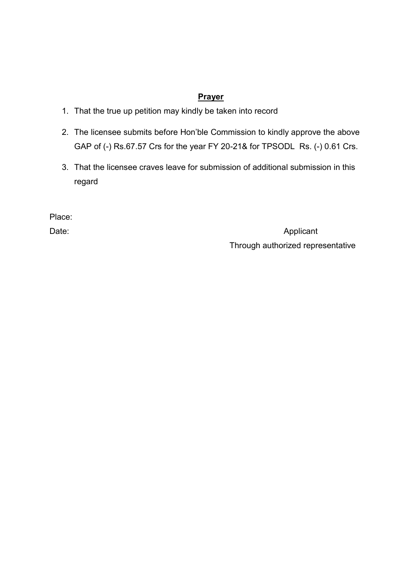# **Prayer**

- 1. That the true up petition may kindly be taken into record
- 2. The licensee submits before Hon'ble Commission to kindly approve the above GAP of (-) Rs.67.57 Crs for the year FY 20-21& for TPSODL Rs. (-) 0.61 Crs.
- 3. That the licensee craves leave for submission of additional submission in this regard

Place:

Date: Applicant Through authorized representative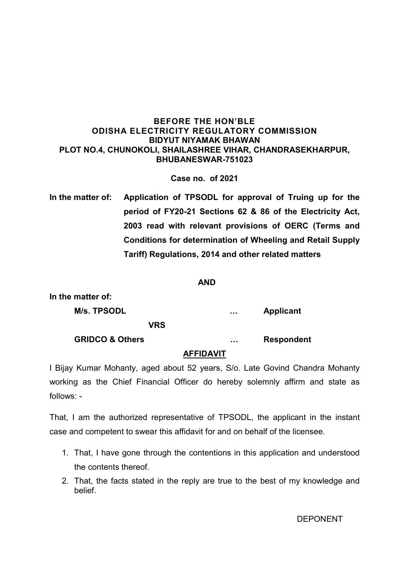## **BEFORE THE HON'BLE ODISHA ELECTRICITY REGULATORY COMMISSION BIDYUT NIYAMAK BHAWAN PLOT NO.4, CHUNOKOLI, SHAILASHREE VIHAR, CHANDRASEKHARPUR, BHUBANESWAR-751023**

**Case no. of 2021** 

**In the matter of: Application of TPSODL for approval of Truing up for the period of FY20-21 Sections 62 & 86 of the Electricity Act, 2003 read with relevant provisions of OERC (Terms and Conditions for determination of Wheeling and Retail Supply Tariff) Regulations, 2014 and other related matters** 

### *AND* AND

| In the matter of:          |                       |
|----------------------------|-----------------------|
| M/s. TPSODL                | <br><b>Applicant</b>  |
| <b>VRS</b>                 |                       |
| <b>GRIDCO &amp; Others</b> | <br><b>Respondent</b> |
|                            |                       |

## **AFFIDAVIT**

I Bijay Kumar Mohanty, aged about 52 years, S/o. Late Govind Chandra Mohanty working as the Chief Financial Officer do hereby solemnly affirm and state as follows: -

That, I am the authorized representative of TPSODL, the applicant in the instant case and competent to swear this affidavit for and on behalf of the licensee.

- 1. That, I have gone through the contentions in this application and understood the contents thereof.
- 2. That, the facts stated in the reply are true to the best of my knowledge and belief.

DEPONENT